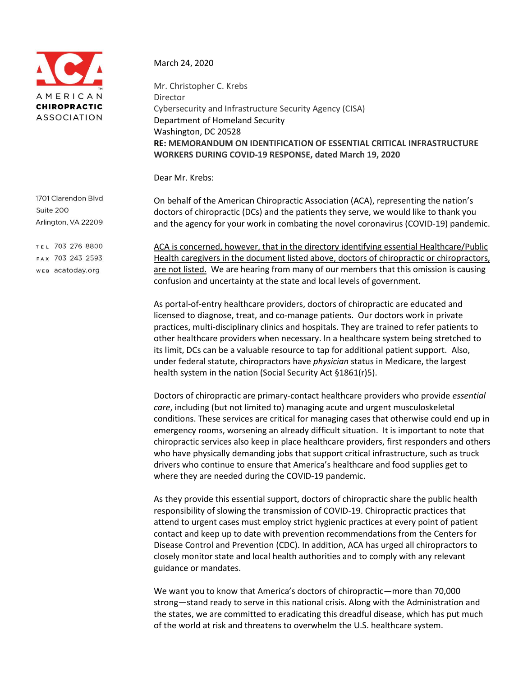

## March 24, 2020

Mr. Christopher C. Krebs Director Cybersecurity and Infrastructure Security Agency (CISA) Department of Homeland Security Washington, DC 20528 **RE: MEMORANDUM ON IDENTIFICATION OF ESSENTIAL CRITICAL INFRASTRUCTURE WORKERS DURING COVID-19 RESPONSE, dated March 19, 2020**

Dear Mr. Krebs:

On behalf of the American Chiropractic Association (ACA), representing the nation's doctors of chiropractic (DCs) and the patients they serve, we would like to thank you and the agency for your work in combating the novel coronavirus (COVID-19) pandemic.

ACA is concerned, however, that in the directory identifying essential Healthcare/Public Health caregivers in the document listed above, doctors of chiropractic or chiropractors, are not listed. We are hearing from many of our members that this omission is causing confusion and uncertainty at the state and local levels of government.

As portal-of-entry healthcare providers, doctors of chiropractic are educated and licensed to diagnose, treat, and co-manage patients. Our doctors work in private practices, multi-disciplinary clinics and hospitals. They are trained to refer patients to other healthcare providers when necessary. In a healthcare system being stretched to its limit, DCs can be a valuable resource to tap for additional patient support. Also, under federal statute, chiropractors have *physician* status in Medicare, the largest health system in the nation (Social Security Act §1861(r)5).

Doctors of chiropractic are primary-contact healthcare providers who provide *essential care*, including (but not limited to) managing acute and urgent musculoskeletal conditions. These services are critical for managing cases that otherwise could end up in emergency rooms, worsening an already difficult situation. It is important to note that chiropractic services also keep in place healthcare providers, first responders and others who have physically demanding jobs that support critical infrastructure, such as truck drivers who continue to ensure that America's healthcare and food supplies get to where they are needed during the COVID-19 pandemic.

As they provide this essential support, doctors of chiropractic share the public health responsibility of slowing the transmission of COVID-19. Chiropractic practices that attend to urgent cases must employ strict hygienic practices at every point of patient contact and keep up to date with prevention recommendations from the Centers for Disease Control and Prevention (CDC). In addition, ACA has urged all chiropractors to closely monitor state and local health authorities and to comply with any relevant guidance or mandates.

We want you to know that America's doctors of chiropractic—more than 70,000 strong—stand ready to serve in this national crisis. Along with the Administration and the states, we are committed to eradicating this dreadful disease, which has put much of the world at risk and threatens to overwhelm the U.S. healthcare system.

Suite 200 Arlington, VA 22209

TEL 703 276 8800 FAX 703 243 2593 WEB acatoday.org

1701 Clarendon Blvd